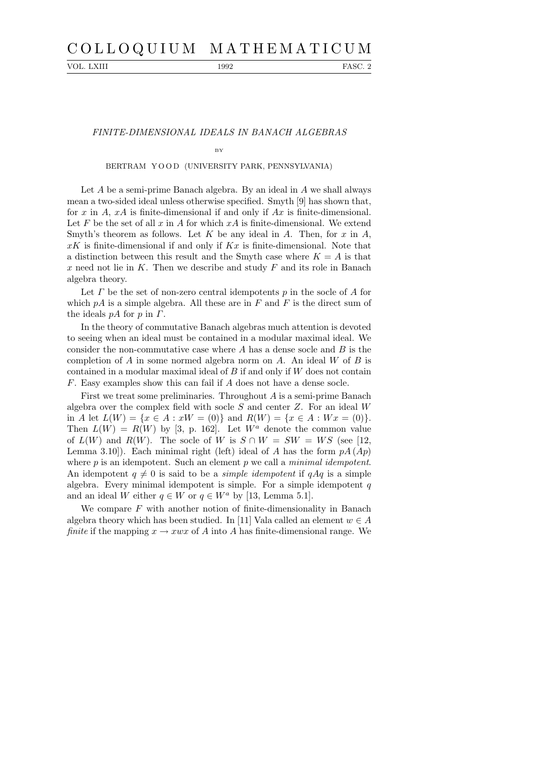# C O L L O Q U I U M M A T H E M A T I C U M

VOL. LXIII 1992 FASC. 2

## FINITE-DIMENSIONAL IDEALS IN BANACH ALGEBRAS

#### BY

## BERTRAM YOOD (UNIVERSITY PARK, PENNSYLVANIA)

Let A be a semi-prime Banach algebra. By an ideal in A we shall always mean a two-sided ideal unless otherwise specified. Smyth [9] has shown that, for x in  $A$ ,  $xA$  is finite-dimensional if and only if  $Ax$  is finite-dimensional. Let F be the set of all x in A for which  $xA$  is finite-dimensional. We extend Smyth's theorem as follows. Let K be any ideal in A. Then, for  $x$  in  $A$ ,  $xK$  is finite-dimensional if and only if  $Kx$  is finite-dimensional. Note that a distinction between this result and the Smyth case where  $K = A$  is that x need not lie in  $K$ . Then we describe and study  $F$  and its role in Banach algebra theory.

Let  $\Gamma$  be the set of non-zero central idempotents  $p$  in the socle of  $\Lambda$  for which  $pA$  is a simple algebra. All these are in F and F is the direct sum of the ideals  $pA$  for p in  $\Gamma$ .

In the theory of commutative Banach algebras much attention is devoted to seeing when an ideal must be contained in a modular maximal ideal. We consider the non-commutative case where  $A$  has a dense socle and  $B$  is the completion of A in some normed algebra norm on A. An ideal  $W$  of B is contained in a modular maximal ideal of  $B$  if and only if  $W$  does not contain F. Easy examples show this can fail if A does not have a dense socle.

First we treat some preliminaries. Throughout A is a semi-prime Banach algebra over the complex field with socle  $S$  and center  $Z$ . For an ideal  $W$ in A let  $L(W) = \{x \in A : xW = (0)\}\$ and  $R(W) = \{x \in A : Wx = (0)\}.$ Then  $L(W) = R(W)$  by [3, p. 162]. Let  $W^a$  denote the common value of  $L(W)$  and  $R(W)$ . The socle of W is  $S \cap W = SW = WS$  (see [12, Lemma 3.10]). Each minimal right (left) ideal of A has the form  $pA (Ap)$ where  $p$  is an idempotent. Such an element  $p$  we call a *minimal idempotent*. An idempotent  $q \neq 0$  is said to be a *simple idempotent* if  $qAq$  is a simple algebra. Every minimal idempotent is simple. For a simple idempotent  $q$ and an ideal W either  $q \in W$  or  $q \in W^a$  by [13, Lemma 5.1].

We compare  $F$  with another notion of finite-dimensionality in Banach algebra theory which has been studied. In [11] Vala called an element  $w \in A$ finite if the mapping  $x \to xwx$  of A into A has finite-dimensional range. We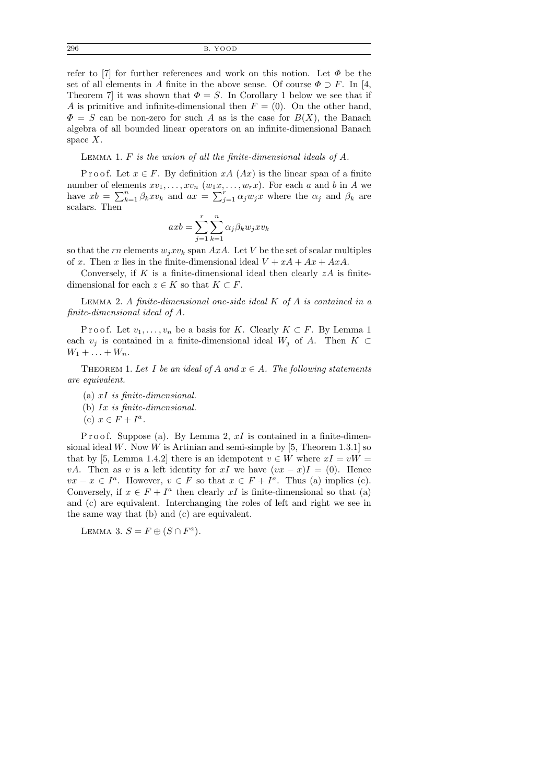296 B. YOOD

refer to [7] for further references and work on this notion. Let  $\Phi$  be the set of all elements in A finite in the above sense. Of course  $\Phi \supset F$ . In [4, Theorem 7 it was shown that  $\Phi = S$ . In Corollary 1 below we see that if A is primitive and infinite-dimensional then  $F = (0)$ . On the other hand,  $\Phi = S$  can be non-zero for such A as is the case for  $B(X)$ , the Banach algebra of all bounded linear operators on an infinite-dimensional Banach space  $X$ .

LEMMA 1.  $F$  is the union of all the finite-dimensional ideals of  $A$ .

P r o o f. Let  $x \in F$ . By definition  $xA(Ax)$  is the linear span of a finite number of elements  $xv_1, \ldots, xv_n$   $(w_1x, \ldots, w_rx)$ . For each a and b in A we have  $xb = \sum_{k=1}^{n} \beta_k x v_k$  and  $ax = \sum_{j=1}^{r} \alpha_j w_j x$  where the  $\alpha_j$  and  $\beta_k$  are scalars. Then

$$
axb = \sum_{j=1}^{r} \sum_{k=1}^{n} \alpha_j \beta_k w_j x v_k
$$

so that the rn elements  $w_i x v_k$  span AxA. Let V be the set of scalar multiples of x. Then x lies in the finite-dimensional ideal  $V + xA + Ax + AxA$ .

Conversely, if K is a finite-dimensional ideal then clearly  $zA$  is finitedimensional for each  $z \in K$  so that  $K \subset F$ .

LEMMA 2. A finite-dimensional one-side ideal  $K$  of  $A$  is contained in a finite-dimensional ideal of A.

P r o o f. Let  $v_1, \ldots, v_n$  be a basis for K. Clearly  $K \subset F$ . By Lemma 1 each  $v_j$  is contained in a finite-dimensional ideal  $W_j$  of A. Then  $K \subset$  $W_1 + ... + W_n$ .

THEOREM 1. Let I be an ideal of A and  $x \in A$ . The following statements are equivalent.

- (a) xI is finite-dimensional.
- (b) Ix is finite-dimensional.
- (c)  $x \in F + I^a$ .

P r o o f. Suppose (a). By Lemma 2,  $xI$  is contained in a finite-dimensional ideal W. Now W is Artinian and semi-simple by  $[5,$  Theorem 1.3.1] so that by [5, Lemma 1.4.2] there is an idempotent  $v \in W$  where  $xI = vW =$ *vA*. Then as *v* is a left identity for xI we have  $(vx - x)I = (0)$ . Hence  $vx - x \in I<sup>a</sup>$ . However,  $v \in F$  so that  $x \in F + I<sup>a</sup>$ . Thus (a) implies (c). Conversely, if  $x \in F + I^a$  then clearly xI is finite-dimensional so that (a) and (c) are equivalent. Interchanging the roles of left and right we see in the same way that (b) and (c) are equivalent.

LEMMA 3.  $S = F \oplus (S \cap F^a)$ .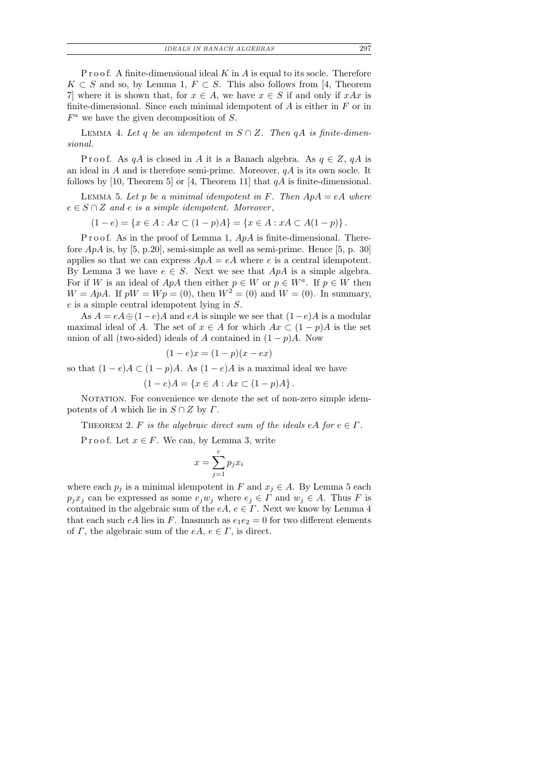IDEALS IN BANACH ALGEBRAS 297

P r o o f. A finite-dimensional ideal  $K$  in  $A$  is equal to its socle. Therefore  $K \subset S$  and so, by Lemma 1,  $F \subset S$ . This also follows from [4, Theorem 7] where it is shown that, for  $x \in A$ , we have  $x \in S$  if and only if  $xAx$  is finite-dimensional. Since each minimal idempotent of  $A$  is either in  $F$  or in  $F^a$  we have the given decomposition of S.

LEMMA 4. Let q be an idempotent in  $S \cap Z$ . Then qA is finite-dimensional.

P r o o f. As q A is closed in A it is a Banach algebra. As  $q \in Z$ , q A is an ideal in  $A$  and is therefore semi-prime. Moreover,  $qA$  is its own socle. It follows by [10, Theorem 5] or [4, Theorem 11] that  $qA$  is finite-dimensional.

LEMMA 5. Let p be a minimal idempotent in F. Then  $ApA = eA$  where  $e \in S \cap Z$  and e is a simple idempotent. Moreover,

 $(1-e) = \{x \in A : Ax \subset (1-p)A\} = \{x \in A : xA \subset A(1-p)\}.$ 

P r o o f. As in the proof of Lemma 1,  $ApA$  is finite-dimensional. Therefore  $ApA$  is, by [5, p.20], semi-simple as well as semi-prime. Hence [5, p. 30] applies so that we can express  $ApA = eA$  where e is a central idempotent. By Lemma 3 we have  $e \in S$ . Next we see that  $ApA$  is a simple algebra. For if W is an ideal of  $ApA$  then either  $p \in W$  or  $p \in W^a$ . If  $p \in W$  then  $W = ApA$ . If  $pW = Wp = (0)$ , then  $W^2 = (0)$  and  $W = (0)$ . In summary, e is a simple central idempotent lying in S.

As  $A = eA \oplus (1-e)A$  and  $eA$  is simple we see that  $(1-e)A$  is a modular maximal ideal of A. The set of  $x \in A$  for which  $Ax \subset (1-p)A$  is the set union of all (two-sided) ideals of A contained in  $(1 - p)A$ . Now

$$
(1 - e)x = (1 - p)(x - ex)
$$

so that  $(1-e)A \subset (1-p)A$ . As  $(1-e)A$  is a maximal ideal we have

$$
(1-e)A = \{x \in A : Ax \subset (1-p)A\}.
$$

NOTATION. For convenience we denote the set of non-zero simple idempotents of A which lie in  $S \cap Z$  by  $\Gamma$ .

THEOREM 2. F is the algebraic direct sum of the ideals eA for  $e \in \Gamma$ .

P r o o f. Let  $x \in F$ . We can, by Lemma 3, write

$$
x = \sum_{j=1}^{r} p_j x_i
$$

where each  $p_i$  is a minimal idempotent in F and  $x_j \in A$ . By Lemma 5 each  $p_jx_j$  can be expressed as some  $e_jw_j$  where  $e_j \in \Gamma$  and  $w_j \in A$ . Thus F is contained in the algebraic sum of the  $eA, e \in \Gamma$ . Next we know by Lemma 4 that each such eA lies in F. Inasmuch as  $e_1e_2 = 0$  for two different elements of  $\Gamma$ , the algebraic sum of the  $eA, e \in \Gamma$ , is direct.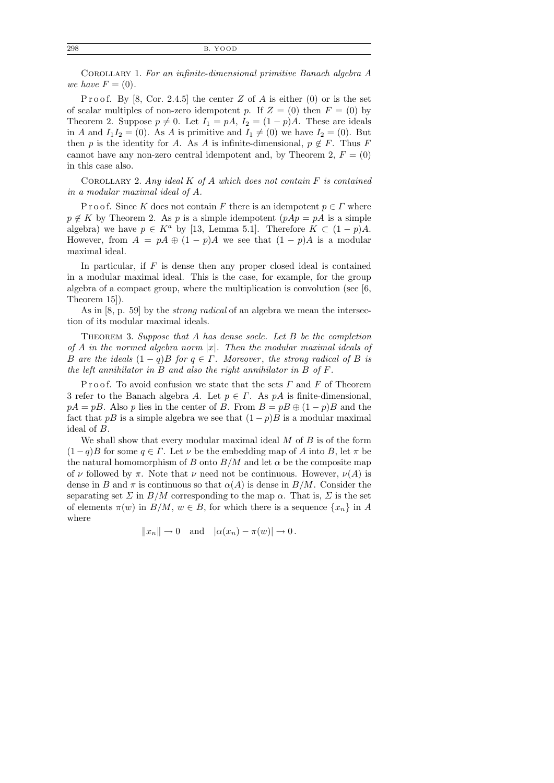Corollary 1. For an infinite-dimensional primitive Banach algebra A we have  $F = (0)$ .

P r o o f. By [8, Cor. 2.4.5] the center Z of A is either  $(0)$  or is the set of scalar multiples of non-zero idempotent p. If  $Z = (0)$  then  $F = (0)$  by Theorem 2. Suppose  $p \neq 0$ . Let  $I_1 = pA$ ,  $I_2 = (1 - p)A$ . These are ideals in A and  $I_1I_2 = (0)$ . As A is primitive and  $I_1 \neq (0)$  we have  $I_2 = (0)$ . But then p is the identity for A. As A is infinite-dimensional,  $p \notin F$ . Thus F cannot have any non-zero central idempotent and, by Theorem 2,  $F = (0)$ in this case also.

COROLLARY 2. Any ideal  $K$  of  $A$  which does not contain  $F$  is contained in a modular maximal ideal of A.

P r o o f. Since K does not contain F there is an idempotent  $p \in \Gamma$  where  $p \notin K$  by Theorem 2. As p is a simple idempotent  $(pAp = pA)$  is a simple algebra) we have  $p \in K^a$  by [13, Lemma 5.1]. Therefore  $K \subset (1-p)A$ . However, from  $A = pA \oplus (1 - p)A$  we see that  $(1 - p)A$  is a modular maximal ideal.

In particular, if  $F$  is dense then any proper closed ideal is contained in a modular maximal ideal. This is the case, for example, for the group algebra of a compact group, where the multiplication is convolution (see [6, Theorem 15]).

As in [8, p. 59] by the strong radical of an algebra we mean the intersection of its modular maximal ideals.

THEOREM 3. Suppose that A has dense socle. Let B be the completion of A in the normed algebra norm  $|x|$ . Then the modular maximal ideals of B are the ideals  $(1 - q)B$  for  $q \in \Gamma$ . Moreover, the strong radical of B is the left annihilator in B and also the right annihilator in B of  $F$ .

Proof. To avoid confusion we state that the sets  $\Gamma$  and  $F$  of Theorem 3 refer to the Banach algebra A. Let  $p \in \Gamma$ . As pA is finite-dimensional,  $pA = pB$ . Also p lies in the center of B. From  $B = pB \oplus (1-p)B$  and the fact that pB is a simple algebra we see that  $(1-p)B$  is a modular maximal ideal of B.

We shall show that every modular maximal ideal  $M$  of  $B$  is of the form  $(1-q)B$  for some  $q \in \Gamma$ . Let  $\nu$  be the embedding map of A into B, let  $\pi$  be the natural homomorphism of B onto  $B/M$  and let  $\alpha$  be the composite map of  $\nu$  followed by  $\pi$ . Note that  $\nu$  need not be continuous. However,  $\nu(A)$  is dense in B and  $\pi$  is continuous so that  $\alpha(A)$  is dense in  $B/M$ . Consider the separating set  $\Sigma$  in  $B/M$  corresponding to the map  $\alpha$ . That is,  $\Sigma$  is the set of elements  $\pi(w)$  in  $B/M$ ,  $w \in B$ , for which there is a sequence  $\{x_n\}$  in A where

 $||x_n|| \to 0$  and  $|\alpha(x_n) - \pi(w)| \to 0$ .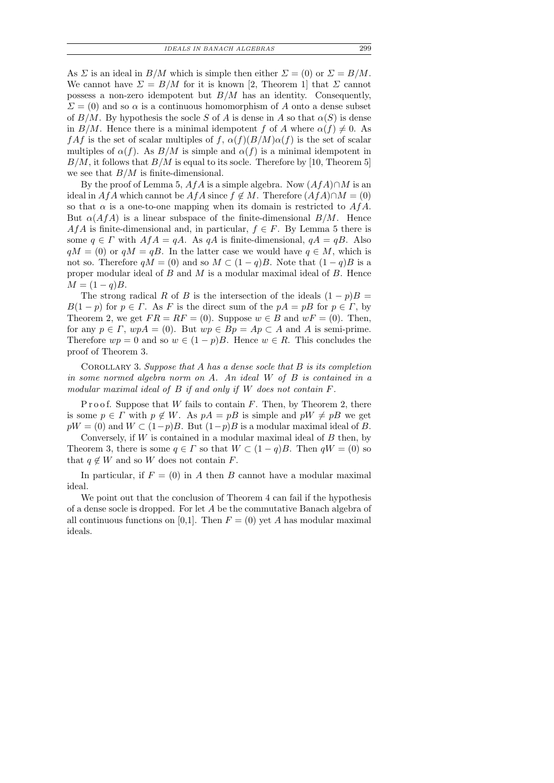IDEALS IN BANACH ALGEBRAS 299

As  $\Sigma$  is an ideal in  $B/M$  which is simple then either  $\Sigma = (0)$  or  $\Sigma = B/M$ . We cannot have  $\Sigma = B/M$  for it is known [2, Theorem 1] that  $\Sigma$  cannot possess a non-zero idempotent but  $B/M$  has an identity. Consequently,  $\Sigma = (0)$  and so  $\alpha$  is a continuous homomorphism of A onto a dense subset of  $B/M$ . By hypothesis the socle S of A is dense in A so that  $\alpha(S)$  is dense in  $B/M$ . Hence there is a minimal idempotent f of A where  $\alpha(f) \neq 0$ . As  $f\mathcal{A}f$  is the set of scalar multiples of f,  $\alpha(f)(B/M)\alpha(f)$  is the set of scalar multiples of  $\alpha(f)$ . As  $B/M$  is simple and  $\alpha(f)$  is a minimal idempotent in  $B/M$ , it follows that  $B/M$  is equal to its socle. Therefore by [10, Theorem 5] we see that  $B/M$  is finite-dimensional.

By the proof of Lemma 5, AfA is a simple algebra. Now  $(AfA) \cap M$  is an ideal in AfA which cannot be  $A f A$  since  $f \notin M$ . Therefore  $(A f A) \cap M = (0)$ so that  $\alpha$  is a one-to-one mapping when its domain is restricted to  $A f A$ . But  $\alpha(AfA)$  is a linear subspace of the finite-dimensional  $B/M$ . Hence AfA is finite-dimensional and, in particular,  $f \in F$ . By Lemma 5 there is some  $q \in \Gamma$  with  $A f A = q A$ . As  $q A$  is finite-dimensional,  $q A = q B$ . Also  $qM = (0)$  or  $qM = qB$ . In the latter case we would have  $q \in M$ , which is not so. Therefore  $qM = (0)$  and so  $M \subset (1-q)B$ . Note that  $(1-q)B$  is a proper modular ideal of  $B$  and  $M$  is a modular maximal ideal of  $B$ . Hence  $M = (1 - q)B$ .

The strong radical R of B is the intersection of the ideals  $(1 - p)B =$  $B(1-p)$  for  $p \in \Gamma$ . As F is the direct sum of the  $pA = pB$  for  $p \in \Gamma$ , by Theorem 2, we get  $FR = RF = (0)$ . Suppose  $w \in B$  and  $wF = (0)$ . Then, for any  $p \in \Gamma$ ,  $wpA = (0)$ . But  $wp \in Bp = Ap \subset A$  and A is semi-prime. Therefore  $wp = 0$  and so  $w \in (1-p)B$ . Hence  $w \in R$ . This concludes the proof of Theorem 3.

COROLLARY 3. Suppose that  $A$  has a dense socle that  $B$  is its completion in some normed algebra norm on A. An ideal W of B is contained in a modular maximal ideal of B if and only if W does not contain F.

P r o o f. Suppose that W fails to contain  $F$ . Then, by Theorem 2, there is some  $p \in \Gamma$  with  $p \notin W$ . As  $pA = pB$  is simple and  $pW \neq pB$  we get  $pW = (0)$  and  $W \subset (1-p)B$ . But  $(1-p)B$  is a modular maximal ideal of B.

Conversely, if  $W$  is contained in a modular maximal ideal of  $B$  then, by Theorem 3, there is some  $q \in \Gamma$  so that  $W \subset (1-q)B$ . Then  $qW = (0)$  so that  $q \notin W$  and so W does not contain F.

In particular, if  $F = (0)$  in A then B cannot have a modular maximal ideal.

We point out that the conclusion of Theorem 4 can fail if the hypothesis of a dense socle is dropped. For let A be the commutative Banach algebra of all continuous functions on [0,1]. Then  $F = (0)$  yet A has modular maximal ideals.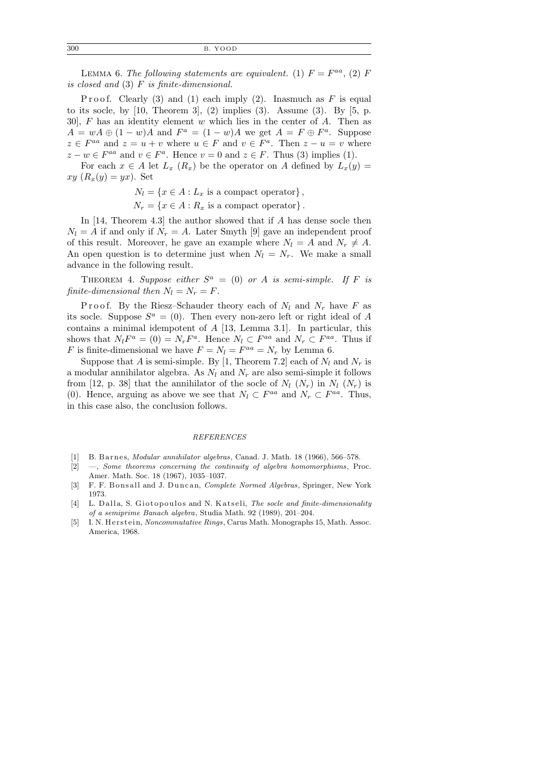300 B. YOOD

LEMMA 6. The following statements are equivalent. (1)  $F = F^{aa}$ , (2) F is closed and (3) F is finite-dimensional.

Proof. Clearly (3) and (1) each imply (2). Inasmuch as  $F$  is equal to its socle, by  $[10,$  Theorem 3,  $(2)$  implies  $(3)$ . Assume  $(3)$ . By  $[5, p$ . 30],  $F$  has an identity element  $w$  which lies in the center of  $A$ . Then as  $A = wA \oplus (1 - w)A$  and  $F^a = (1 - w)A$  we get  $A = F \oplus F^a$ . Suppose  $z \in F^{aa}$  and  $z = u + v$  where  $u \in F$  and  $v \in F^a$ . Then  $z - u = v$  where  $z - w \in F^{aa}$  and  $v \in F^a$ . Hence  $v = 0$  and  $z \in F$ . Thus (3) implies (1).

For each  $x \in A$  let  $L_x(R_x)$  be the operator on A defined by  $L_x(y) =$  $xy(R_x(y) = yx)$ . Set

> $N_l = \{x \in A : L_x \text{ is a compact operator}\},\$  $N_r = \{x \in A : R_x \text{ is a compact operator}\}.$

In [14, Theorem 4.3] the author showed that if A has dense socle then  $N_l = A$  if and only if  $N_r = A$ . Later Smyth [9] gave an independent proof of this result. Moreover, he gave an example where  $N_l = A$  and  $N_r \neq A$ . An open question is to determine just when  $N_l = N_r$ . We make a small advance in the following result.

THEOREM 4. Suppose either  $S^a = (0)$  or A is semi-simple. If F is finite-dimensional then  $N_l = N_r = F$ .

P r o o f. By the Riesz–Schauder theory each of  $N_l$  and  $N_r$  have F as its socle. Suppose  $S^a = (0)$ . Then every non-zero left or right ideal of A contains a minimal idempotent of A [13, Lemma 3.1]. In particular, this shows that  $N_lF^a = (0) = N_rF^a$ . Hence  $N_l \subset F^{aa}$  and  $N_r \subset F^{aa}$ . Thus if F is finite-dimensional we have  $F = N_l = F^{aa} = N_r$  by Lemma 6.

Suppose that A is semi-simple. By [1, Theorem 7.2] each of  $N_l$  and  $N_r$  is a modular annihilator algebra. As  $N_l$  and  $N_r$  are also semi-simple it follows from [12, p. 38] that the annihilator of the socle of  $N_l$   $(N_r)$  in  $N_l$   $(N_r)$  is (0). Hence, arguing as above we see that  $N_l \subset F^{aa}$  and  $N_r \subset F^{aa}$ . Thus, in this case also, the conclusion follows.

### REFERENCES

- [1] B. Barnes, *Modular annihilator algebras*, Canad. J. Math. 18 (1966), 566–578.
- [2] —, Some theorems concerning the continuity of algebra homomorphisms, Proc. Amer. Math. Soc. 18 (1967), 1035–1037.
- [3] F. F. Bonsall and J. Duncan, Complete Normed Algebras, Springer, New York 1973.
- [4] L. Dalla, S. Giotopoulos and N. Katseli, The socle and finite-dimensionality of a semiprime Banach algebra, Studia Math. 92 (1989), 201–204.
- [5] I. N. Herstein, Noncommutative Rings, Carus Math. Monographs 15, Math. Assoc. America, 1968.